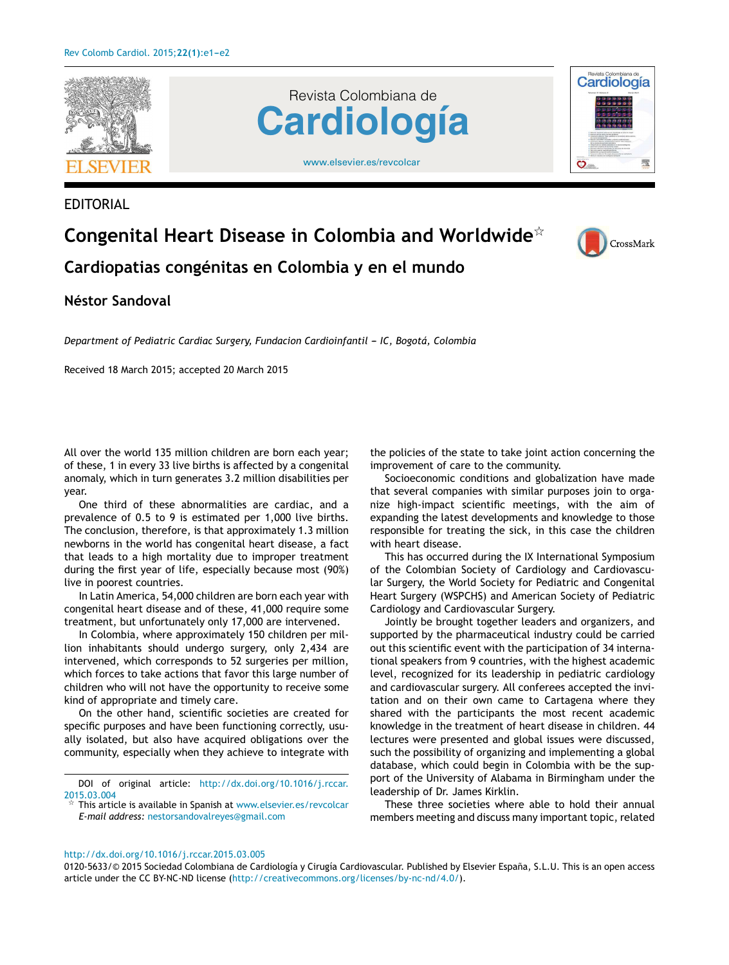

EDITORIAL





## **Congenital Heart Disease in Colombia and Worldwide**-



**Cardiopatias congénitas en Colombia y en el mundo**

## **Néstor Sandoval**

*Department of Pediatric Cardiac Surgery, Fundacion Cardioinfantil --- IC, Bogotá, Colombia*

Received 18 March 2015; accepted 20 March 2015

All over the world 135 million children are born each year; of these, 1 in every 33 live births is affected by a congenital anomaly, which in turn generates 3.2 million disabilities per year.

One third of these abnormalities are cardiac, and a prevalence of 0.5 to 9 is estimated per 1,000 live births. The conclusion, therefore, is that approximately 1.3 million newborns in the world has congenital heart disease, a fact that leads to a high mortality due to improper treatment during the first year of life, especially because most (90%) live in poorest countries.

In Latin America, 54,000 children are born each year with congenital heart disease and of these, 41,000 require some treatment, but unfortunately only 17,000 are intervened.

In Colombia, where approximately 150 children per million inhabitants should undergo surgery, only 2,434 are intervened, which corresponds to 52 surgeries per million, which forces to take actions that favor this large number of children who will not have the opportunity to receive some kind of appropriate and timely care.

On the other hand, scientific societies are created for specific purposes and have been functioning correctly, usually isolated, but also have acquired obligations over the community, especially when they achieve to integrate with

DOI of original article: [http://dx.doi.org/10.1016/j.rccar.](http://dx.doi.org/10.1016/j.rccar.2015.03.004) [2015.03.004](http://dx.doi.org/10.1016/j.rccar.2015.03.004)

 $\frac{1}{14}$  This article is available in Spanish at [www.elsevier.es/revcolcar](http://www.elsevier.es/revcolcar) *E-mail address:* [nestorsandovalreyes@gmail.com](mailto:nestorsandovalreyes@gmail.com)

the policies of the state to take joint action concerning the improvement of care to the community.

Socioeconomic conditions and globalization have made that several companies with similar purposes join to organize high-impact scientific meetings, with the aim of expanding the latest developments and knowledge to those responsible for treating the sick, in this case the children with heart disease.

This has occurred during the IX International Symposium of the Colombian Society of Cardiology and Cardiovascular Surgery, the World Society for Pediatric and Congenital Heart Surgery (WSPCHS) and American Society of Pediatric Cardiology and Cardiovascular Surgery.

Jointly be brought together leaders and organizers, and supported by the pharmaceutical industry could be carried out this scientific event with the participation of 34 international speakers from 9 countries, with the highest academic level, recognized for its leadership in pediatric cardiology and cardiovascular surgery. All conferees accepted the invitation and on their own came to Cartagena where they shared with the participants the most recent academic knowledge in the treatment of heart disease in children. 44 lectures were presented and global issues were discussed, such the possibility of organizing and implementing a global database, which could begin in Colombia with be the support of the University of Alabama in Birmingham under the leadership of Dr. James Kirklin.

These three societies where able to hold their annual members meeting and discuss many important topic, related

[http://dx.doi.org/10.1016/j.rccar.2015.03.005](dx.doi.org/10.1016/j.rccar.2015.03.005)

0120-5633/© 2015 Sociedad Colombiana de Cardiología y Cirugía Cardiovascular. Published by Elsevier España, S.L.U. This is an open access article under the CC BY-NC-ND license (<http://creativecommons.org/licenses/by-nc-nd/4.0/>).